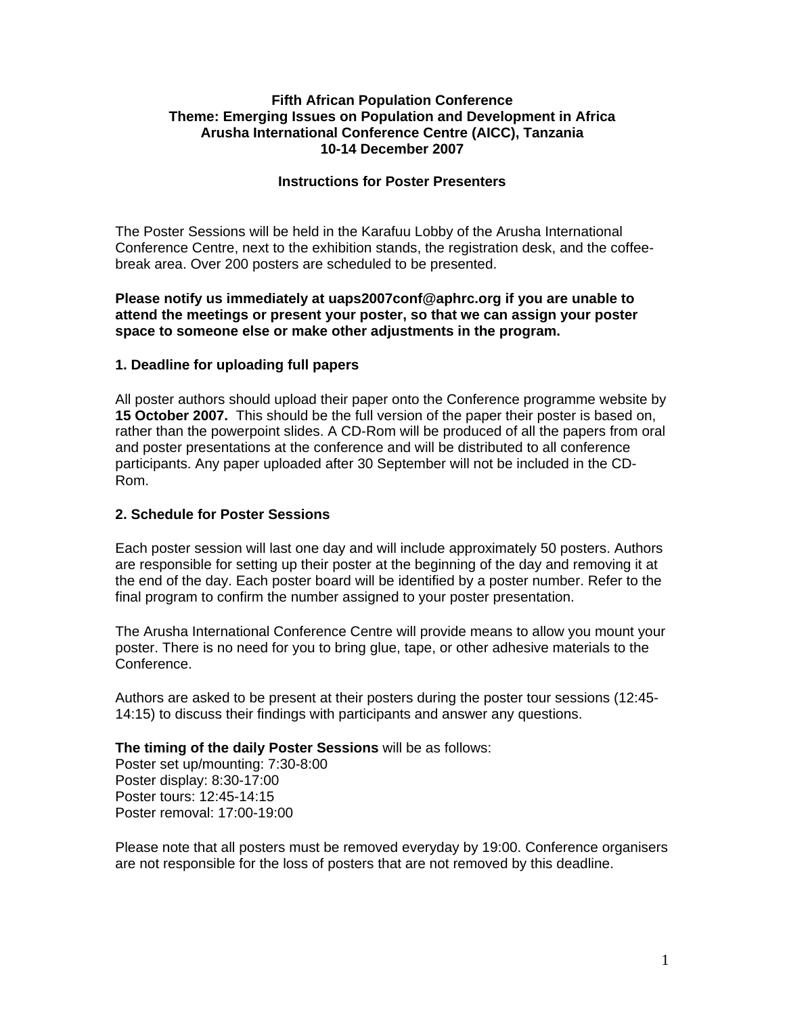## **Fifth African Population Conference Theme: Emerging Issues on Population and Development in Africa Arusha International Conference Centre (AICC), Tanzania 10-14 December 2007**

## **Instructions for Poster Presenters**

The Poster Sessions will be held in the Karafuu Lobby of the Arusha International Conference Centre, next to the exhibition stands, the registration desk, and the coffeebreak area. Over 200 posters are scheduled to be presented.

## **Please notify us immediately at uaps2007conf@aphrc.org if you are unable to attend the meetings or present your poster, so that we can assign your poster space to someone else or make other adjustments in the program.**

## **1. Deadline for uploading full papers**

All poster authors should upload their paper onto the Conference programme website by **15 October 2007.** This should be the full version of the paper their poster is based on, rather than the powerpoint slides. A CD-Rom will be produced of all the papers from oral and poster presentations at the conference and will be distributed to all conference participants. Any paper uploaded after 30 September will not be included in the CD-Rom.

## **2. Schedule for Poster Sessions**

Each poster session will last one day and will include approximately 50 posters. Authors are responsible for setting up their poster at the beginning of the day and removing it at the end of the day. Each poster board will be identified by a poster number. Refer to the final program to confirm the number assigned to your poster presentation.

The Arusha International Conference Centre will provide means to allow you mount your poster. There is no need for you to bring glue, tape, or other adhesive materials to the Conference.

Authors are asked to be present at their posters during the poster tour sessions (12:45- 14:15) to discuss their findings with participants and answer any questions.

### **The timing of the daily Poster Sessions** will be as follows:

Poster set up/mounting: 7:30-8:00 Poster display: 8:30-17:00 Poster tours: 12:45-14:15 Poster removal: 17:00-19:00

Please note that all posters must be removed everyday by 19:00. Conference organisers are not responsible for the loss of posters that are not removed by this deadline.